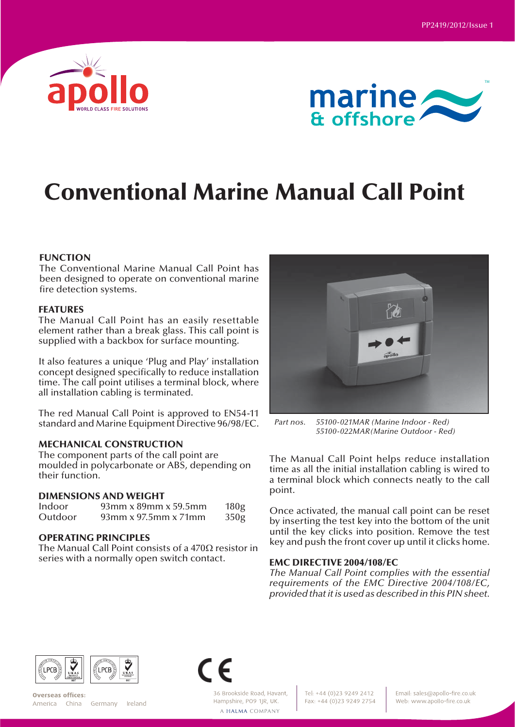



# **Conventional Marine Manual Call Point**

## **FUNCTION**

The Conventional Marine Manual Call Point has been designed to operate on conventional marine fire detection systems.

#### **FEATURES**

The Manual Call Point has an easily resettable element rather than a break glass. This call point is supplied with a backbox for surface mounting.

It also features a unique 'Plug and Play' installation concept designed specifically to reduce installation time. The call point utilises a terminal block, where all installation cabling is terminated.

The red Manual Call Point is approved to EN54-11 standard and Marine Equipment Directive 96/98/EC.

## **MECHANICAL CONSTRUCTION**

The component parts of the call point are moulded in polycarbonate or ABS, depending on their function.

#### **DIMENSIONS AND WEIGHT**

| Indoor  | $93$ mm x $89$ mm x 59.5mm    | 180 <sub>g</sub> |
|---------|-------------------------------|------------------|
| Outdoor | $93$ mm x $97.5$ mm x $71$ mm | 350g             |

#### **OPERATING PRINCIPLES**

The Manual Call Point consists of a 470 $\Omega$  resistor in series with a normally open switch contact.



*Part nos. 55100-021MAR (Marine Indoor - Red) 55100-022MAR(Marine Outdoor - Red)*

The Manual Call Point helps reduce installation time as all the initial installation cabling is wired to a terminal block which connects neatly to the call point.

Once activated, the manual call point can be reset by inserting the test key into the bottom of the unit until the key clicks into position. Remove the test key and push the front cover up until it clicks home.

#### **EMC DIRECTIVE 2004/108/EC**

*The Manual Call Point complies with the essential requirements of the EMC Directive 2004/108/EC, provided that it is used as described in this PIN sheet.*





**Overseas offices:** America China Germany Ireland

36 Brookside Road, Havant. Hampshire, PO9 1JR, UK.

A HALMA COMPANY

Tel: +44 (0)23 9249 2412 Fax: +44 (0)23 9249 2754 Email: sales@apollo-fire.co.uk Web: www.apollo-fire.co.uk